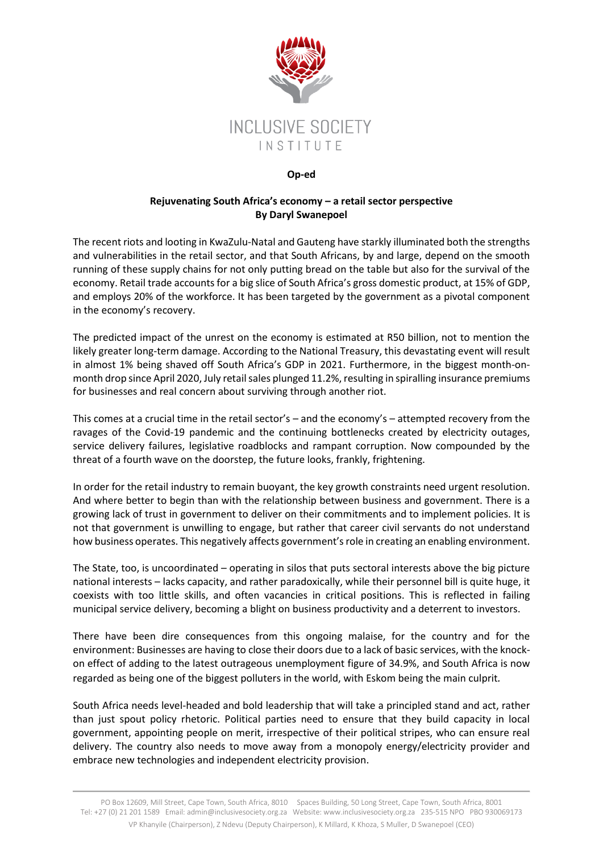

## **Op-ed**

## **Rejuvenating South Africa's economy – a retail sector perspective By Daryl Swanepoel**

The recent riots and looting in KwaZulu-Natal and Gauteng have starkly illuminated both the strengths and vulnerabilities in the retail sector, and that South Africans, by and large, depend on the smooth running of these supply chains for not only putting bread on the table but also for the survival of the economy. Retail trade accounts for a big slice of South Africa's gross domestic product, at 15% of GDP, and employs 20% of the workforce. It has been targeted by the government as a pivotal component in the economy's recovery.

The predicted impact of the unrest on the economy is estimated at R50 billion, not to mention the likely greater long-term damage. According to the National Treasury, this devastating event will result in almost 1% being shaved off South Africa's GDP in 2021. Furthermore, in the biggest month-onmonth drop since April 2020, July retail sales plunged 11.2%, resulting in spiralling insurance premiums for businesses and real concern about surviving through another riot.

This comes at a crucial time in the retail sector's – and the economy's – attempted recovery from the ravages of the Covid-19 pandemic and the continuing bottlenecks created by electricity outages, service delivery failures, legislative roadblocks and rampant corruption. Now compounded by the threat of a fourth wave on the doorstep, the future looks, frankly, frightening.

In order for the retail industry to remain buoyant, the key growth constraints need urgent resolution. And where better to begin than with the relationship between business and government. There is a growing lack of trust in government to deliver on their commitments and to implement policies. It is not that government is unwilling to engage, but rather that career civil servants do not understand how business operates. This negatively affects government'srole in creating an enabling environment.

The State, too, is uncoordinated – operating in silos that puts sectoral interests above the big picture national interests – lacks capacity, and rather paradoxically, while their personnel bill is quite huge, it coexists with too little skills, and often vacancies in critical positions. This is reflected in failing municipal service delivery, becoming a blight on business productivity and a deterrent to investors.

There have been dire consequences from this ongoing malaise, for the country and for the environment: Businesses are having to close their doors due to a lack of basic services, with the knockon effect of adding to the latest outrageous unemployment figure of 34.9%, and South Africa is now regarded as being one of the biggest polluters in the world, with Eskom being the main culprit*.*

South Africa needs level-headed and bold leadership that will take a principled stand and act, rather than just spout policy rhetoric. Political parties need to ensure that they build capacity in local government, appointing people on merit, irrespective of their political stripes, who can ensure real delivery. The country also needs to move away from a monopoly energy/electricity provider and embrace new technologies and independent electricity provision.